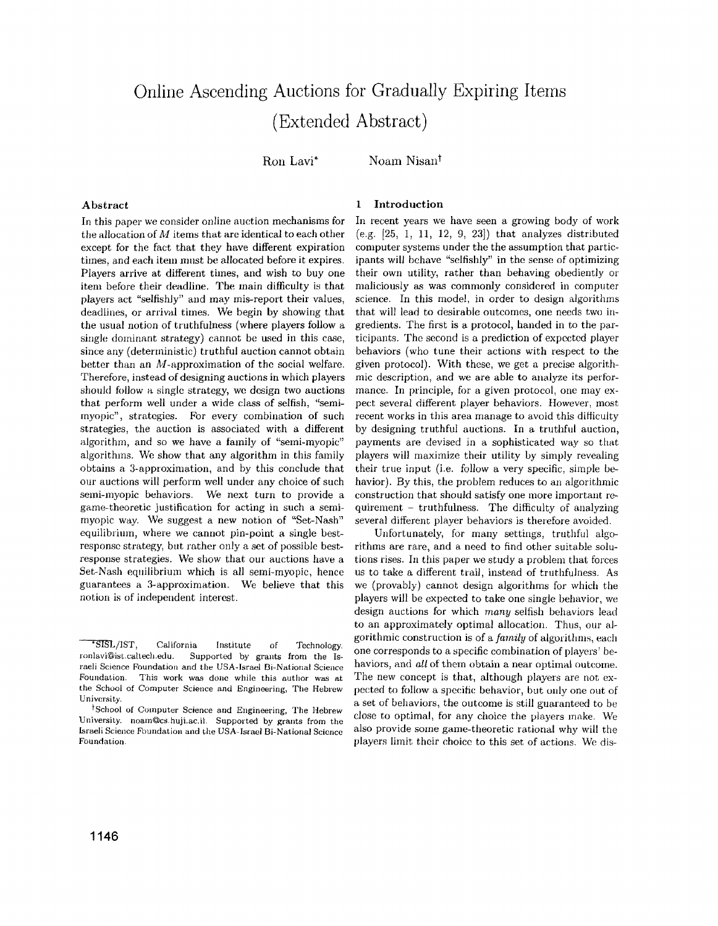# **Online** Ascending Auctions for Gradually Expiring Iterns (Extended Abstract)

Ron Lavi\*

Noam Nisant

## Abstract

In this paper we consider online auction mechanisms for the allocation of M items that are identical to each other except for the fact that they have different expiration times, and each item must be allocated before it expires. Players arrive at different times, and wish to buy one item before their deadline. The main difficulty is that players act "selfishly" and may mis-report their values, deadlines, or arrival times. We begin by showing that the usual notion of truthfulness (where players folIow a single dominant strategy) cannot be used in this case, since any (deterministic) truthful auction cannot obtain better than an *M*-approximation of the social welfare. Therefore, instead of designing auctions in which players should follow a single strategy, we design two auctions that perform well under a wide class of selfish, "semimyopic", strategies. For every combination of such strategies, the auction is associated with a different algorithm, and so we have a family of "semi-myopic" algorithms. We show that any algorithm in this family obtains a 3-approximation, and by this conclude that our auctions will perform well under any choice of such semi-myopic behaviors. We next turn to provide a game-theoretic justification for acting in such a semimyopic way. We suggest a new notion of "Set-Nash" equilibrium, where we cannot pin-point a single bestresponse strategy, but rather only a set of possible bestresponse strategies. We show that our auctions have a Set-Nash equilibrium which is all semi-myopic, hence guarantees a 3-approximation. We believe that this notion is of independent interest.

## 1 **Introduction**

In recent years we have seen a growing body of work (e.g. [25, 1, 11, 12, 9, 23]) that analyzes distributed computer systems under the the assumption that participants will behave "selfishly" in the sense of optimizing their own utility, rather than behaving obediently or maliciously as was commonly considered in computer science. In this model, in order to design algorithms that will lead to desirable outcomes, one needs two ingredients. The first is a protocol, handed in to the participants. The second is a prediction of expected player behaviors (who tune their actions with respect to the given protocol). With these, we get a precise algorithmic description, and we are able to analyze its performance. In principle, for a given protocol, one may expect several different player behaviors. However, most recent works in this area manage to avoid this difficulty by designing truthful auctions. In a truthful auction, payments are devised in a sophisticated way so that players will maximize their utility by simply revealing their true input (Le. follow a very specific, simple behavior). By this, the problem reduces to an algorithmic construction that should satisfy one more important requirement - truthfulness. The difficulty of analyzing several different player behaviors is therefore avoided.

Unfortunately, for many settings, truthful algorithms are rare, and a need to find other suitable solutions rises. In this paper we study a problem that forces us to take a different trail, instead of truthfulness. As we (provably) cannot design algorithms for which the players will be expected to take one single behavior, we design auctions for which *many* selfish behaviors lead to an approximately optimal allocation. Thus, our algorithmic construction is of a *family* of algorithms, each one corresponds to a specific combination of players' behaviors, and *all* of them obtain a near optimal outcome. The new concept is that, although players are not expected to follow a specific behavior, but only one out of a set of behaviors, the outcome is still guaranteed to be close to optimal, for any choice the players make. We also provide some game-theoretic rational why will the players limit their choice to this set of actions. We dis-

<sup>~/</sup>IST, California Institute of Technology. ronlavi@bt.caltech.edu. Supported by grants from the Israeli Science Foundation and the USA-Israel Bi-National Science Foundation. This work was done while this author was at the School of Computer Science and Engineering, The Hebrew University.

<sup>&</sup>lt;sup>†</sup>School of Computer Science and Engineering, The Hebrew University. noam@cs.huji.ac.il. Supported by grants from the Israeli Science Foundation and the USA-Israel Bi-National Science Foundation.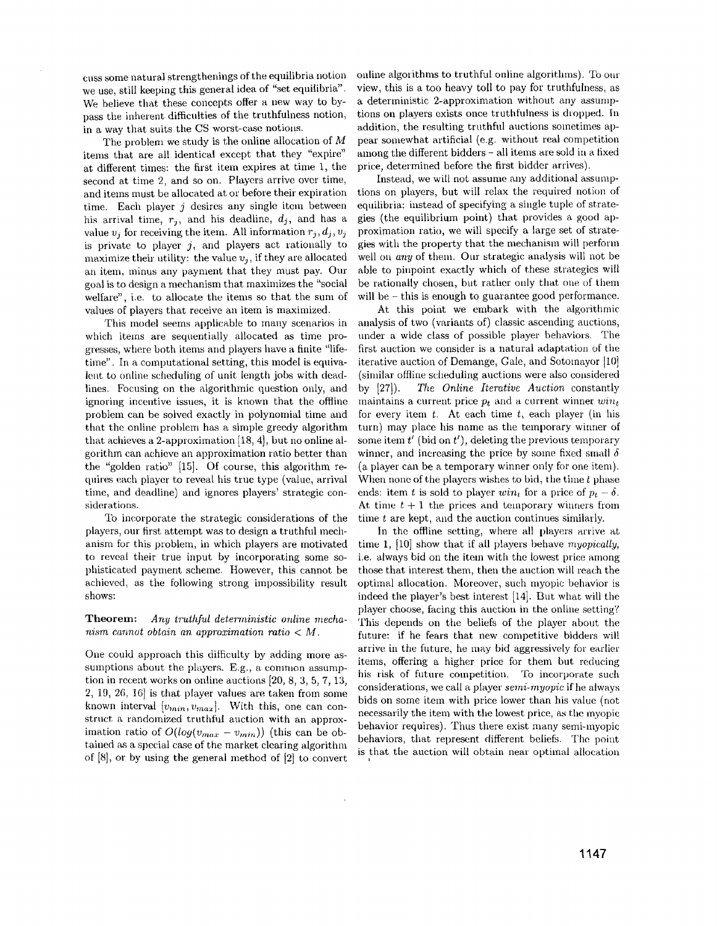cuss some natural strengthenings of the equilibria notion we use, still keeping this general idea of "set equilibria" . We believe that these concepts offer a new way to bypass the inherent difficulties of the truthfulness notion, in a way that suits the CS worst-case notions.

The problem we study is the online allocation of  $M$ items that are all identical except that they "expire" at different times: the first item expires at time 1, the second at time 2, and so on. Players arrive over time, and items must be allocated at or before their expiration time. Each player  $j$  desires any single item between his arrival time,  $r_j$ , and his deadline,  $d_j$ , and has a value  $v_j$  for receiving the item. All information  $r_j, d_j, v_j$ is private to player  $j$ , and players act rationally to maximize their utility: the value  $v_j$ , if they are allocated an item, minus any payment that they must pay. Our goal is to design a mechanism that maximizes the "social welfare", i.e. to allocate the items so that the sum of values of players that receive an item is maximized.

This model seems applicable to many scenarios in which items are sequentially allocated as time progresses, where both items and players have a finite "lifetime". In a computational setting, this model is equivalent to online scheduling of unit length jobs with deadlines. Focusing on the algorithmic question only, and ignoring incentive issues, it is known that the ofHine problem can be solved exactly in polynomial time and that the online problem has a simple greedy algorithm that achieves a 2-approximation [18, 4], but no online algorithm can achieve an approximation ratio better than the "golden ratio" [15]. Of course, this algorithm requires each player to reveal his true type (value, arrival time, and deadline) and ignores players' strategic considerations.

To incorporate the strategic considerations of the players, our first attempt was to design a truthful mechanism for this problem, in which players are motivated to reveal their true input by incorporating some sophisticated payment scheme. However, this cannot be achieved, as the following strong impossibility result shows:

### **Theorem:** Any truthful deterministic online mechanism cannot obtain an approximation ratio  $\lt M$ .

One could approach this difficulty by adding more assumptions about the players. E.g., a common assumption in recent works on online auctions [20, 8, 3, 5, 7, 13, 2, 19, 2G, 16] is that player values are taken from some known interval  $[v_{min}, v_{max}]$ . With this, one can construct a randomized truthful auction with an approximation ratio of  $O(log(v_{max} - v_{min}))$  (this can be obtained as a special case of the market clearing algorithm of  $[8]$ , or by using the general method of  $[2]$  to convert online algorithms to truthful online algorithms). To our view, this is a too heavy toll to pay for truthfulness, as a deterministic 2-approximation without any *assuwp*tions on players exists once truthfulness is dropped. In addition, the resulting truthful auctions sometimes appear somewhat artificial (e.g. without real competition among the different bidders  $-$  all items are sold in a fixed price, determined before the first bidder arrives).

Instead, we will not assume any additional assumptions on players, but will relax the required notion of equilibria: instead of specifying a single tuple of strategies (the equilibrium point) that provides a good approximation ratio, we will spedfy a large set of strategies with the property that the mechanism will perform well on *any* of them. Our strategic analysis will not be able to pinpoint exactly which of these strategies will be rationally chosen, but rather only that one of them will be - this is enough to guarantee good performance.

At this point we embark with the algorithmic analysis of two (variants of) classic ascending auctions, under a wide class of possible player behaviors. The first auction we consider is a natural adaptation of the iterative auction of Demange, Gale, and Sotomayor [10] (similar offline scheduling auctions were also considered by [27]). *The Online Itemtive Auction* constantly maintains a current price  $p_t$  and a current winner  $win_t$ for every item *t.* At each time *t,* each player (in his turn) may place his name as the temporary winner of some item  $t'$  (bid on  $t'$ ), deleting the previous temporary winner, and increasing the price by some fixed small  $\delta$ (a player can be a temporary winner only for one item). When none of the players wishes to bid, the time *t* phase ends: item *t* is sold to player *win<sub>t</sub>* for a price of  $p_t - \delta$ . At time  $t + 1$  the prices and temporary winners from time *t* are kept, and the auction continues similarly.

In the ofHine setting, where all players arrive at time 1, [10] show that if all players behave *myopically*, i.e. always bid on the item with the lowest price among those that interest them, then the auction will reach the optimal allocation. Moreover, such myopic behavior is indeed the player's best interest [14J. But what will the player choose, facing this auction in the online setting? This depeuds on the beliefs of the player about the future: if he fears that new competitive bidders will arrive in the future, he may bid aggressively for earlier items, offering a higher price for them but reducing his risk of future competition. To incorporate such considerations, we call a player *serni-myop'ic* if he always bids on some item with price lower than his value (not necessarily the item with the lowest price, as the myopic behavior requires). Thus there exist many semi-myopic behaviors, that represent different beliefs. The point is that the auction will obtain near optimal allocation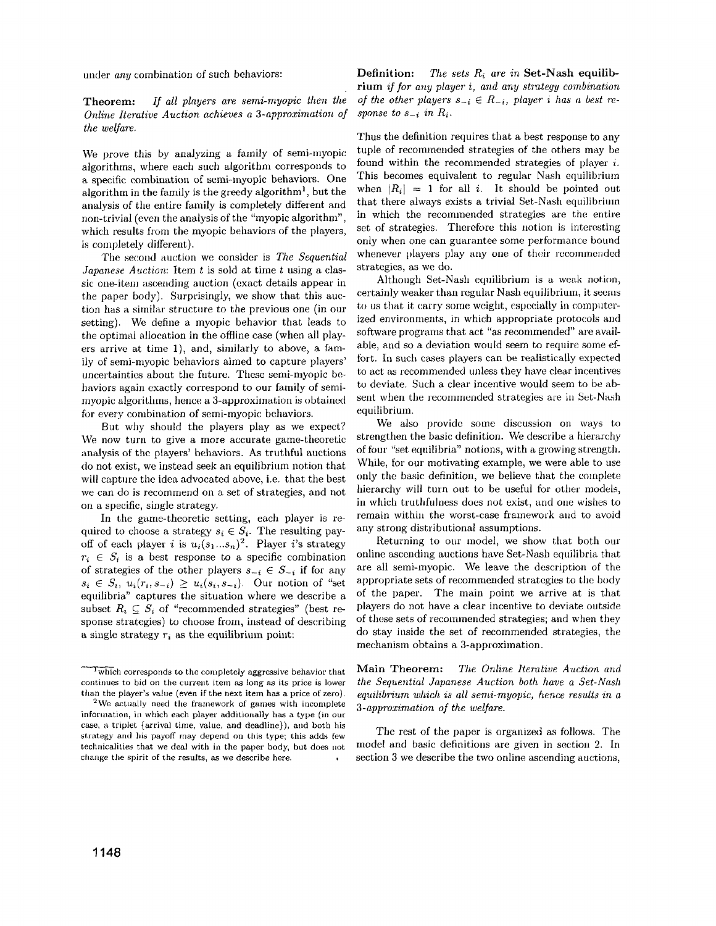under *any* combination of such behaviors:

Theorem: *If all players are semi-myopic then the Online Iterative Auction achieves a 3-approximation of the welfare.* 

We prove this by analyzing a family of semi-myopic algorithms, where each such algorithm corresponds to a specific combination of semi-myopic behaviors. One algorithm in the family is the greedy algorithm<sup>1</sup>, but the analysis of the entire family is completely different and non-trivial (even the analysis of the "myopic algorithm", which results from the myopic behaviors of the players, is completely different).

The second auction we consider is *The Sequential Japanese Auction:* Item t is sold at time t using a classic one-item ascending auction (exact details appear in the paper body). Surprisingly, we show that this auction has a similar structure to the previous one (in our setting). We define a myopic behavior that leads to the optimal allocation in the offline case (when all players arrive at time 1), and, similarly to above, a family of semi-myopic behaviors aimed to capture players' uncertainties about the future. These semi-myopic behaviors again exactly correspond to our family of semimyopic algorithms, hence a 3-approximation is obtained for every combination of semi-myopic behaviors.

But why should the players play as we expect? \Ve now turn to give a more accurate game-theoretic analysis of thc players' behaviors. As truthful auctions do not exist, we instead seek an equilibrium notion that will capture the idea advocated above, i.e. that the best we can do is recommend on a set of strategies, and not on a specific, single strategy.

In the game-theoretic setting, each player is required to choose a strategy  $s_i \in S_i$ . The resulting payoff of each player i is  $u_i(s_1...s_n)^2$ . Player i's strategy  $r_i \in S_i$  is a best response to a specific combination of strategies of the other players  $s_{-i} \in S_{-i}$  if for any  $s_i \in S_i$ ,  $u_i(r_i, s_{-i}) \geq u_i(s_i, s_{-i})$ . Our notion of "set equilibria" captures the situation where we describe a subset  $R_i \nightharpoonup S_i$  of "recommended strategies" (best response strategies) to choose from, instead of describing a single strategy  $r_i$  as the equilibrium point:

2We actually need the framework of games with incomplete information, in which each player additionally has a type (in our case, a triplet {arrival time, value, and deadline}), and both his strategy and his payoff may depend on this type; this adds few technicalities that we deal with in the paper body, but does not change the spirit of the results, as we describe here.

Definition: *The sets Hi are in* Set-Nash equilibrium *if for any player i, and any strategy combination of the other players*  $s_{-i} \in R_{-i}$ , *player i has a best response to*  $s_{-i}$  *in R<sub>i</sub>*.

Thus the definition requires that a best response to any tuple of recommended strategies of the others may be found within the recommended strategies of player  $i$ . This becomes equivalent to regular Nash equilibrium when  $|R_i| = 1$  for all i. It should be pointed out that there always exists a trivial Set-Nash equilibrium in which the recommended strategies are the entire set of strategies. Therefore this notion is interesting only when one can guarantee some performance bound whenever players play any one of their recommended strategies, as we do.

Although Set-Nash equilibrium is a weak notion, certainly weaker than regular Nash equilibrium, it seems to us that it carry some weight, especially in computerized environments, in which appropriate protocols and software programs that act "as recommended" are available, and so a deviation would seem to require some effort. In such cases players can be realistically expected to act as recommended unless they have clear incentives to deviate. Such a clear incentive would seem to be absent when the recommended strategies are in Set-Nash equilibrium.

We also provide some discussion on ways to strengthen the basic definition. We describe a hierarchy of four "set equilibria" notions, with a growing strength. While, for our motivating example, we were able to use only the basic definition, we believe that the complete hierarchy will turn out to be useful for other models, in which truthfulness does not exist, and one wishes to remain within the worst-case framework and to avoid any strong distributional assumptions.

Returning to our model, we show that both our online ascending auctions have Set-Nash equilibria that are all semi-myopic. We leave the description of the appropriate sets of recommended strategies to the body of the paper. The main point we arrive at is that players do not have a clear incentive to deviate outside of these sets of recommended strategies; and when they do stay inside the set of recommended strategies, the mechanism obtains a 3-approximation.

Main Theorem: *The Online Itemtive A'uction and the Sequential Japanese Auction both have a Set-Nash equilibri'um which* is *all semi-myopic, hence results in a 3-approximation of the welfare.* 

The rest of the paper is organized as follows. The model and basic definitions are given in section 2. In section 3 we describe the two online ascending auctions,

 $\overline{\text{``which corresponds to the completely aggressive behavior that}}$ continues to bid on the current item as long as its price is lower than the player's value (even if the next item has a price of zero).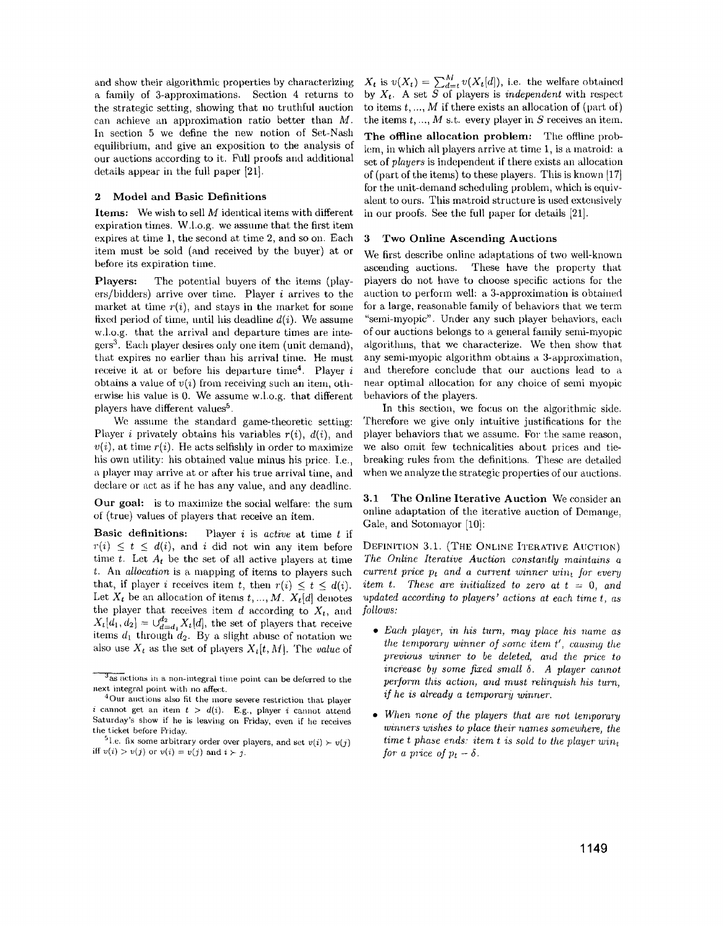and show their algorithmic properties by characterizing a family of 3-approximations. Section 4 returns to the strategic setting, showing that no truthful auction can achieve an approximation ratio better than M. In section 5 we define the new notion of Set-Nash equilibrium, and give an exposition to the analysis of our auctions according to it. Full proofs and additional details appear in the full paper [21].

## 2 Model and Basic Definitions

Items: We wish to sell  $M$  identical items with different expiration times. W.l.o.g. we assume that the first item expires at time 1, the second at time 2, and so on. Each item must be sold (and received by the buyer) at or before its expiration time.

Players: The potential buyers of the items (players/bidders) arrive over time. Player  $i$  arrives to the market at time  $r(i)$ , and stays in the market for some fixed period of time, until his deadline  $d(i)$ . We assume w.l.o.g. that the arrival and departure times are inte- $\text{gers}^3$ . Each player desires only one item (unit demand), that expires no earlier than his arrival time. He must receive it at or before his departure time<sup>4</sup>. Player i obtains a value of  $v(i)$  from receiving such an item, otherwise his value is O. We assume w.l.o.g. that different players have different values<sup>5</sup>.

We assume the standard game-theoretic setting: Player *i* privately obtains his variables  $r(i)$ ,  $d(i)$ , and  $v(i)$ , at time  $r(i)$ . He acts selfishly in order to maximize his own utility: his obtained value minus his price. I.e., a player may arrive at or after his true arrival time, and declare or act as if he has any value, and any deadline.

Our goal: is to maximize the social welfare: the sum of (true) values of players that receive an item.

Basic definitions: Player *i* is *active* at time *t* if  $r(i) \leq t \leq d(i)$ , and i did not win any item before time  $t$ . Let  $A_t$  be the set of all active players at time *t.* An *allocation* is a mapping of items to players such that, if player *i* receives item *t*, then  $r(i) \le t \le d(i)$ . Let  $X_t$  be an allocation of items  $t, ..., M$ .  $X_t[d]$  denotes the player that receives item *d* according to  $X_t$ , and  $X_t[d_1, d_2] = \bigcup_{d=d_1}^{d_2} X_t[d]$ , the set of players that receive items  $d_1$  through  $d_2$ . By a slight abuse of notation we also use  $X_t$  as the set of players  $X_t[t, M]$ . The *value* of

 $X_t$  is  $v(X_t) = \sum_{d=t}^{M} v(X_t[d]),$  i.e. the welfare obtained by *Xt.* A set *S* of players is *independent* with respect to items  $t, ..., M$  if there exists an allocation of (part of) the items  $t, ..., M$  s.t. every player in  $S$  receives an item.

The offline allocation problem: The offline problem, in which all players arrive at time 1, is a matroid: a set of *players* is independent if there exists an allocation of (part of the items) to these players. This is known [17] for the unit-demand scheduling problem, which is equivalent to ours. This matroid structure is used extensively in our proofs. See the full paper for details [21].

#### 3 Two Online Ascending Auctions

We first describe online adaptations of two well-known ascending auctions. These have the property that players do not have to choose specific actions for the auction to perform well: a 3-approximation is obtained for a large, reasonable family of behaviors that we term "semi-myopic". Under any such player behaviors, each of our auctions belongs to a general family semi-myopic algorithms, that we characterize. We then show that any semi-myopic algorithm obtains a 3-approximation, and therefore conclude that our auctions lead to a near optimal allocation for any choice of semi myopic behaviors of the players.

In this section, we focus on the algorithmic side. Therefore we give only intuitive justifications for the player behaviors that we assume. For the same reason, we also omit few technicalities about prices and tiebreaking rules from the definitions. These are detailed when we analyze the strategic properties of our auctions.

3.1 The Online Iterative Auction We consider an online adaptation of the iterative auction of Demange, Gale, and Sotomayor [10]:

DEFINITION 3.1. (THE ONLINE ITERATIVE AUCTION) *The Online Iterative Auction constantly maintains a current price*  $p_t$  *and a current winner wint for every item t.* These are *initialized to zero at*  $t = 0$ , and *updated according to players' actions at each time t, as follows:* 

- *Each player, 'in his turn, may place his name as the temporary winner of some item t', causing the prev'io'us winner to be deleted, and the price to increase by some fixed small*  $\delta$ *. A player cannot perform this action, and must relinquish his turn, if he is already a temporary winner.*
- When none of the players that are not temporary winners wishes to place their names somewhere, the *time t phase ends: item t is sold to the player*  $win_t$ *for a price of*  $p_t - \delta$ *.*

<sup>&</sup>lt;sup>3</sup>as actions in a non-integral time point can be deferred to the next integral point with no affect.

<sup>40</sup>ur auctions also fit the more severe restriction that player i cannot get an item  $t > d(i)$ . E.g., player i cannot attend Saturday's show if he is leaving on Friday, even if he receives the ticket before Friday.

<sup>&</sup>lt;sup>5</sup>I.e. fix some arbitrary order over players, and set  $v(i) \succ v(j)$ iff  $v(i) > v(j)$  or  $v(i) = v(j)$  and  $i > j$ .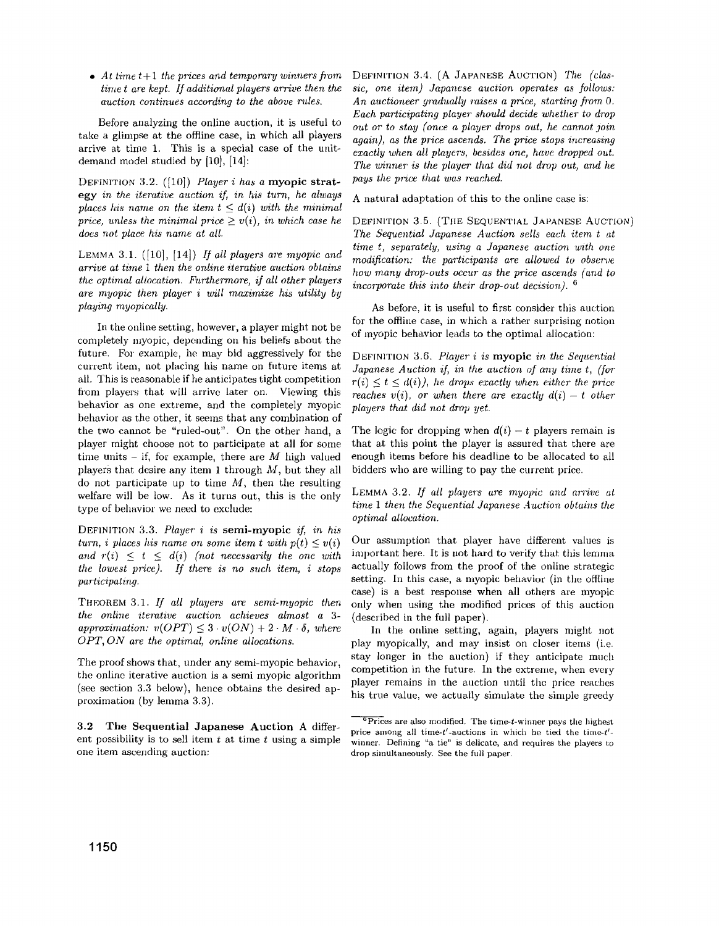• At time  $t+1$  the prices and temporary winners from *time t are kept. If additional players arrive then the auction continues according to the above rules.* 

Before analyzing the online auction, it is useful to take a glimpse at the offline case, in which all players arrive at time 1. This is a special case of the unitdemand model studied by [10], [14]:

DEFINITION 3.2. ([10]) *Player* i *has a* myopic strategy *in the iterative auction if, in his turn, he always places his name on the item*  $t \leq d(i)$  *with the minimal price, unless the minimal price*  $\geq v(i)$ *, in which case he docs not place his name at all.* 

LEMMA 3.1. ([10], [14]) *If all players are myopic and arrive at time* 1 *then the onl'ine iterative a'uction obtains the optimal allocation, Furthermore, if all other players*  are myopic then player *i* will maximize his utility by *playing myopically.* 

In the online setting, however, a player might not be completely myopic, depending on his beliefs about the future. For example, he may bid aggressively for the current item, not placing his name on future items at all. This is reasonable if he anticipates tight competition from players that will arrive later on. Viewing this behavior as one extreme, and the completely myopic behavior as the other, it seems that any combination of the two cannot be "ruled-out". On the other hand, a player might choose not to participate at all for some time units  $-$  if, for example, there are *M* high valued players that desire any item 1 through  $M$ , but they all do not participate up to time *AI,* then the resulting welfare will be low. As it turns out, this is the only type of behavior we need to exclude:

DEFINITION 3.3. Player *i* is semi-myopic if, in his *turn, i places his name on some item t with*  $p(t) \leq v(i)$ and  $r(i) \leq t \leq d(i)$  (not necessarily the one with *the lowest price). If there* is *no such item,* i *stops participating.* 

THEOREM 3.1. If all players are semi-myopic then *the online iterative a'uction achieves almost* a 3 *approximation:*  $v(OPT) \leq 3 \cdot v(ON) + 2 \cdot M \cdot \delta$ , where *OPT, ON are the optimal, online allocations.* 

The proof shows that, under any semi-myopic behavior, the online iterative auction is a semi myopic algorithm (see section 3.3 below), hence obtains the desired approximation (by lemma 3.3),

3.2 The Sequential Japanese Auction A different possibility is to sell item *t* at time *t* using a simple one item ascending auction:

DEFINITION 3.4. (A JAPANESE AUCTION) *The (classic, one item) Japanese auction operates as follows: An auctioneer gradually raises a price, starting from 0. Each participating player should decide whether to drop out or to stay (once a player drops out, he cannot join again), as the price ascends. The price stops increasing exactly 'When all players, besides one, have dropped out. The winner* is *the player that did not drop out, and he pays the price that was reached.* 

A natural adaptation of this to the online case is:

DEFINITION 3.5. (THE SEQUENTIAL JAPANESE AUCTION) *The Sequential Japanese A'uction sells each item* t *at time t, separately, using a Japanese auction with one modification: the participants are allowed to observe how many drop-outs occur as the price ascends (and to incorporate this into their drop-out decision). 6* 

As before, it is useful to first consider this auction for the offline case, in which a rather surprising notion of myopic behavior leads to the optimal allocation:

DEFINITION 3.6. *Player'i* is myopic *in the Sequential Japanese Auction if, in the auction of any time t, (for*  $r(i) \leq t \leq d(i)$ , he drops exactly when either the price *reaches v(i), or when there are exactly*  $d(i) - t$  *other playeTs that did not drop yet.* 

The logic for dropping when  $d(i) - t$  players remain is that at this point the player is assured that there are enough items before his deadline to be allocated to all bidders who are willing to pay the current price,

LEMMA 3.2. If all players are myopic and arrive at *time* 1 *then the Sequential Japanese Auction obtains the optimal allocation.* 

Our assumption that player have different values is important here. It is not hard to verify that this lemma actually follows from the proof of the online strategic setting. In this case, a myopic behavior (in the offline case) is a best response when all others are myopic only when using the modified prices of this auction (described in the full paper).

In the online setting, again, players might not play myopically, and may insist on closer items (i.e. stay longer in the auction) if they anticipate much competition in the future. In the extreme, when every player remains in the auction until the price reaches his true value, we actually simulate the simple greedy

 $\overline{^{6}$ Prices are also modified. The time-t-winner pays the highest price among all time- $t'$ -auctions in which he tied the time- $t'$ winner. Defining "a tie" is delicate, and requires the players to drop simUltaneously, See the full paper.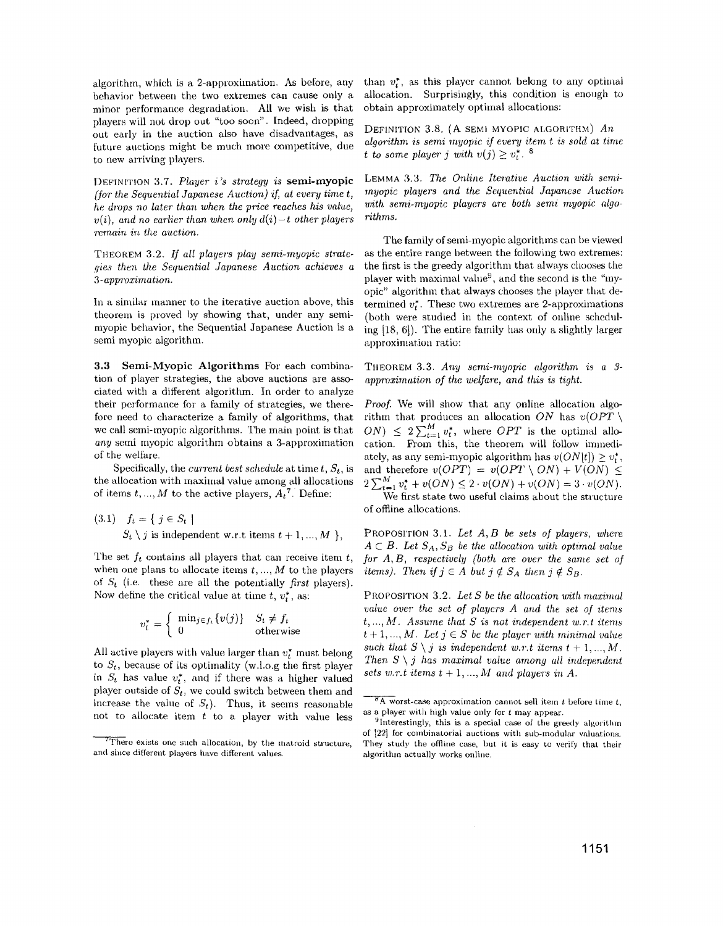algorithm, which is a 2-approximation. As before, any behavior between the two extremes can cause only a minor performance degradation. All we wish is that players will not drop out "too soon". Indeed, dropping out early in the auction also have disadvantages, as future auctions might be much more competitive, due to new arriving players.

DEFINITION 3.7. *Player i's strategy* is semi-myopic *(Jor the Sequential Japanese Auction)* if, *at every time t, he drops no late'r than when the price reaches his val'uc,*   $v(i)$ , and no earlier than when only  $d(i) - t$  other players *remain in the auction.* 

THEOREM 3.2. If all players play semi-myopic strate*gies then the Sequential Japanese Auction achieves a* 3 *-app1'Oximation.* 

In a similar manner to the iterative auction above, this theorem is proved by showing that, under any semimyopic behavior, the Sequential Japanese Auction is a semi myopic algorithm.

3.3 Semi-Myopic Algorithms For each combination of player strategies, the above auctions are associated with a different algorithm. In order to analyze their performance for a family of strategies, we therefore need to characterize a family of algorithms, that we call semi-myopic algorithms. The main point is that *any* semi myopic algorithm obtains a 3-approximation of the welfare.

Specifically, the *current best schedule* at time *t, St,* is the allocation with maximal value among all allocations of items  $t, ..., M$  to the active players,  $A_t$ <sup>7</sup>. Define:

(3.1) 
$$
f_t = \{ j \in S_t \mid S_t \setminus j \text{ is independent w.r.t items } t+1, ..., M \},
$$

The set  $f_t$  contains all players that can receive item  $t$ , when one plans to allocate items  $t, ..., M$  to the players of *St* (i.e. these are all the potentially *first* players). Now define the critical value at time  $t, v_t^*$ , as:

$$
v_t^* = \begin{cases} \min_{j \in f_t} \{v(j)\} & S_t \neq f_t \\ 0 & \text{otherwise} \end{cases}
$$

All active players with value larger than *v;* must belong to  $S_t$ , because of its optimality (w.l.o.g the first player in  $S_t$  has value  $v_t^*$ , and if there was a higher valued player outside of  $S_t$ , we could switch between them and increase the value of  $S_t$ ). Thus, it seems reasonable not to allocate item  $t$  to a player with value less than  $v_t^*$ , as this player cannot belong to any optimal allocation. Surprisingly, this condition is enough to obtain approximately optimal allocations:

DEFINITION 3.8. (A SEMI MYOPIC ALGORITHM) An *algorithm is semi myopic if every item* t is *sold at time t to some player j with*  $v(j) \geq v_t^*$ . <sup>8</sup>

LEMMA 3.3. *The Online Iterative Auction with semi*myopic players and the Sequential Japanese Auction with semi-myopic players are both semi myopic algo*rithms.* 

The family of semi-myopic algorithms can be viewed as the entire range between the following two extremes: the first is the greedy algorithm that always chooses the player with maximal value<sup>9</sup>, and the second is the "myopic" algorithm that always chooses the player that determined  $v_t^*$ . These two extremes are 2-approximations (both were studied in the context of online scheduling  $[18, 6]$ . The entire family has only a slightly larger approximation ratio:

THEOREM 3.3. *Any semi-myopic algorithm* is *a* 3 approximation of the welfare, and this is tight.

*Proof.* We will show that any online allocation algorithm that produces an allocation *ON* has  $v(OPT \setminus$  $ON) \leq 2 \sum_{t=1}^{M} v_t^*$ , where *OPT* is the optimal allocation. From this, the theorem will follow immediately, as any semi-myopic algorithm has  $v(ON|t|) \geq v_t^*$ , and therefore  $v(OPT) = v(OPT \setminus ON) + V(ON) \le$  $2 \sum_{t=1}^{M} v_t^* + v(ON) \leq 2 \cdot v(ON) + v(ON) = 3 \cdot v(ON).$ 

We first state two useful claims about the structure of offline allocations.

PROPOSITION 3.1. *Let A, B be sets of players, whe're*   $A \subset B$ . Let  $S_A$ ,  $S_B$  *be the allocation with optimal value for A, B, respectively (both are over the same set of items). Then if*  $j \in A$  *but*  $j \notin S_A$  *then*  $j \notin S_B$ .

PROPOSITION 3.2. Let S be the allocation with maximal *value over the set of players A and the set of items* t, ... , M. *Ass'ume that S* is *not independent w.r.t items*   $t + 1, \ldots, M$ . Let  $j \in S$  be the player with minimal value such that  $S \setminus j$  is independent w.r.t items  $t + 1, ..., M$ . *Then*  $S \setminus j$  *has maximal value among all independent* sets w.r.t items  $t + 1, ..., M$  and players in A.

 $7$ There exists one such allocation, by the matroid structure, and since different players have different values.

 $\overline{8A}$  worst-case approximation cannot sell item t before time t, as a player with high value only for *t* may appear.

<sup>&</sup>lt;sup>9</sup> Interestingly, this is a special case of the greedy algorithm of [22] for combinatorial auctions with sub-modular valuations. They study the offline case, but it is easy to verify that their algorithm actually works online.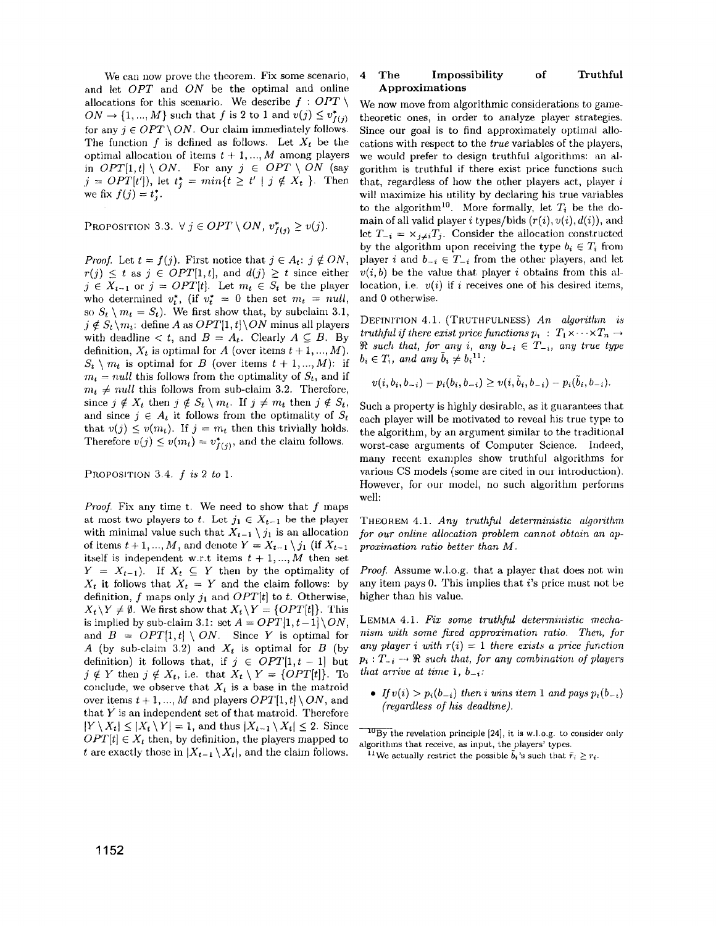We can now prove the theorem. Fix some scenario, and let *OPT* and *ON* be the optimal and online allocations for this scenario. We describe  $f : OPT \setminus$  $ON \rightarrow \{1, ..., M\}$  such that *f* is 2 to 1 and  $v(j) \leq v_{f(j)}^*$ for any  $j \in OPT \setminus ON$ . Our claim immediately follows. The function  $f$  is defined as follows. Let  $X_t$  be the optimal allocation of items  $t + 1, ..., M$  among players in  $OPT[1, t] \setminus ON$ . For any  $j \in OPT \setminus ON$  (say  $j = OPT[t']$ , let  $t_i^* = min\{t \ge t' \mid j \notin X_t \}$ . Then we fix  $f(j) = t_{i}^{*}$ .

PROPOSITION 3.3.  $\forall j \in OPT \setminus ON$ ,  $v_{f(i)}^* \ge v(j)$ .

*Proof.* Let  $t = f(j)$ . First notice that  $j \in A_t$ :  $j \notin ON$ ,  $r(j) \leq t$  as  $j \in OPT[1, t]$ , and  $d(j) \geq t$  since either  $j \in X_{t-1}$  or  $j = OPT[t]$ . Let  $m_t \in S_t$  be the player who determined  $v_t^*$ , (if  $v_t^* = 0$  then set  $m_t = null$ , so  $S_t \setminus m_t = S_t$ . We first show that, by subclaim 3.1,  $j \notin S_t \setminus m_t$ : define *A* as  $OPT[1, t] \setminus ON$  minus all players with deadline  $\lt t$ , and  $B = A_t$ . Clearly  $A \subseteq B$ . By definition,  $X_t$  is optimal for A (over items  $t + 1, ..., M$ ).  $S_t \setminus m_t$  is optimal for *B* (over items  $t + 1, ..., M$ ): if  $m_t = null$  this follows from the optimality of  $S_t$ , and if  $m_t \neq null$  this follows from sub-claim 3.2. Therefore, since  $j \notin X_t$  then  $j \notin S_t \setminus m_t$ . If  $j \neq m_t$  then  $j \notin S_t$ , and since  $j \in A_t$  it follows from the optimality of  $S_t$ that  $v(j) \le v(m_t)$ . If  $j = m_t$  then this trivially holds. Therefore  $v(j) \leq v(m_t) = v_{f(j)}^*$ , and the claim follows.

PROPOSITION 3.4. f *is* 2 *to 1.* 

*Pmoj.* Fix any time t. We need to show that *f* maps at most two players to *t*. Let  $j_1 \in X_{t-1}$  be the player with minimal value such that  $X_{t-1} \setminus j_1$  is an allocation of items  $t + 1, ..., M$ , and denote  $Y = X_{t-1} \setminus j_1$  (if  $X_{t-1}$ itself is independent w.r.t items  $t + 1, ..., M$  then set  $Y = X_{t-1}$ . If  $X_t \subseteq Y$  then by the optimality of  $X_t$  it follows that  $X_t = Y$  and the claim follows: by definition, f maps only  $j_1$  and  $OPT[t]$  to *t*. Otherwise,  $X_t \ Y \neq \emptyset$ . We first show that  $X_t \ Y = \{OPT[t]\}.$  This is implied by sub-claim 3.1: set  $A = OPT[1, t-1] \setminus ON$ , and  $B = OPT[1, t] \setminus ON$ . Since *Y* is optimal for *A* (by sub-claim 3.2) and  $X_t$  is optimal for *B* (by definition) it follows that, if  $j \in OPT[1, t-1]$  but  $j \notin Y$  then  $j \notin X_t$ , i.e. that  $X_t \setminus Y = \{OPT[t]\}.$  To conclude, we observe that  $X_t$  is a base in the matroid over items  $t + 1, ..., M$  and players  $OPT[1, t] \setminus ON$ , and that *Y* is an independent set of that matroid. Therefore  $|Y\setminus X_t| \leq |X_t\setminus Y| = 1$ , and thus  $|X_{t-1}\setminus X_t| \leq 2$ . Since  $OPT[t] \in X_t$  then, by definition, the players mapped to t are exactly those in  $|X_{t-1}\setminus X_t|$ , and the claim follows.

## 4 **The Impossibility of Truthful Approximations**

We now move from algorithmic considerations to gametheoretic ones, in order to analyze player strategies. Since our goal is to find approximately optimal allocations with respect to the *t'rue* variables of the players, we would prefer to design truthful algorithms: an algorithm is truthful if there exist price functions such that, regardless of how the other players act, player  $i$ will maximize his utility by declaring his true variables to the algorithm<sup>10</sup>. More formally, let  $T_i$  be the domain of all valid player i types/bids  $(r(i), v(i), d(i))$ , and let  $T_{-i} = \times_{i \neq i} T_i$ . Consider the allocation constructed by the algorithm upon receiving the type  $b_i \in T_i$  from player i and  $b_{-i} \in T_{-i}$  from the other players, and let  $v(i, b)$  be the value that player i obtains from this allocation, i.e.  $v(i)$  if i receives one of his desired items, and 0 otherwise.

DEFINITION 4.1. (TRUTHFULNESS) *An algorithm is truthful if there exist price functions*  $p_i$  :  $T_1 \times \cdots \times T_n$ R such that, for any *i*, any  $b_{-i} \in T_{-i}$ , any true type  $b_i \in T_i$ , and any  $b_i \neq b_i$ <sup>11</sup>:

$$
v(i, b_i, b_{-i}) - p_i(b_i, b_{-i}) \ge v(i, \tilde{b}_i, b_{-i}) - p_i(\tilde{b}_i, b_{-i}).
$$

Such a property is highly desirable, as it guarantees that each player will be motivated to reveal his true type to the algorithm, by an argument similar to the traditional worst-case arguments of Computer Science. Indeed, many recent examples show truthful algorithms for various CS models (some are cited in our introduction). However, for our model, no such algorithm performs well:

THEOREM 4.1. *Any truthful deterministic aLgorithm for our online allocation problem cannot obtain an approximation ratio better than M.* 

*Proof.* Assume w.l.o.g. that a player that does not win any item pays  $0$ . This implies that i's price must not be higher than his value.

LEMMA 4.1. Fix some truthful deterministic mecha*nism with some fixed appmximation mtio. Then, for any player i with*  $r(i) = 1$  *there exists a price function*  $p_i: T_{-i} \rightarrow \Re$  *such that, for any combination of players that arrive at time 1,*  $b_{-i}$ *:* 

• If  $v(i) > p_i(b_{-i})$  *then i wins item* 1 *and pays*  $p_i(b_{-i})$ *(regardless of his deadline).* 

 $\frac{1000}{1000}$  the revelation principle [24], it is w.l.o.g. to consider only algorithms that receive, as input, the players' types.

<sup>&</sup>lt;sup>11</sup>We actually restrict the possible  $\tilde{b}_i$ 's such that  $\tilde{r}_i \geq r_i$ .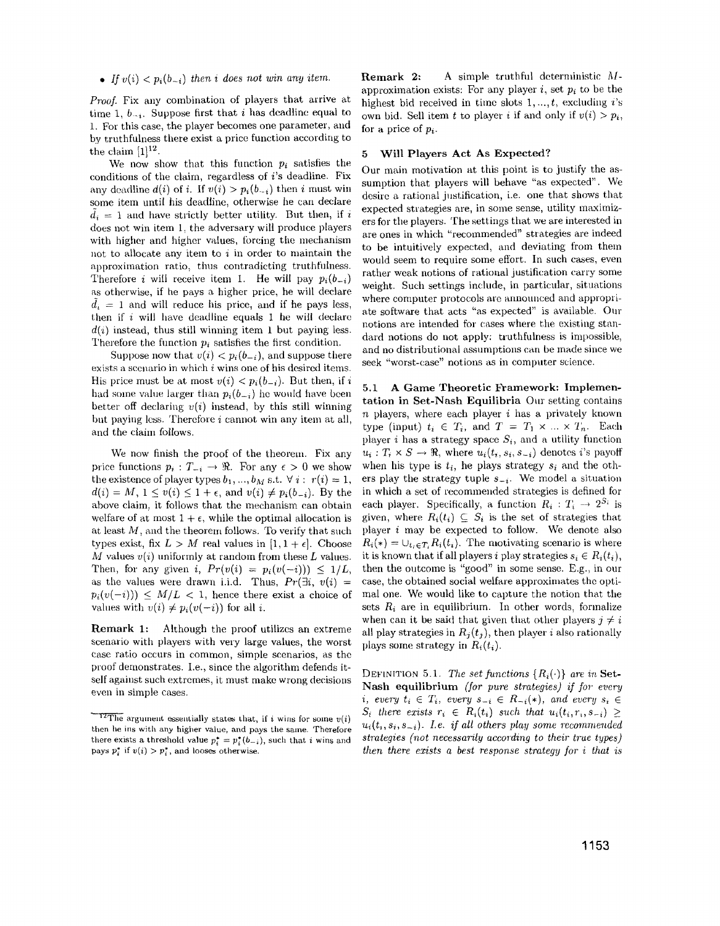• *If*  $v(i) < p_i(b_{-i})$  *then i does not win any item.* 

*Proof.* Fix any combination of players that arrive at time 1,  $b_{-i}$ . Suppose first that i has deadline equal to 1. For this case, the player becomes one parameter, and by truthfulness there exist a price function according to the claim  $[1]^{12}$ .

We now show that this function  $p_i$  satisfies the conditions of the claim, regardless of  $i$ 's deadline. Fix any deadline  $d(i)$  of i. If  $v(i) > p_i(b_{-i})$  then i must win some item until his deadline, otherwise he can declare  $d_i = 1$  and have strictly better utility. But then, if i does not win item 1, the adversary will produce players with higher and higher values, forcing the mechanism not to allocate any item to  $i$  in order to maintain the approximation ratio, thus contradicting truthfulness. Therefore *i* will receive item 1. He will pay  $p_i(b_{-i})$ as otherwise, if he pays a higher price, he will declare  $d_i = 1$  and will reduce his price, and if he pays less, then if  $i$  will have deadline equals 1 he will declare *d(i)* instead, thus still winning item 1 but paying less. Therefore the function *Pi* satisfies the first condition.

Suppose now that  $v(i) < p_i(b_{-i})$ , and suppose there exists a scenario in which  $i$  wins one of his desired items. His price must be at most  $v(i) < p_i(b_{-i})$ . But then, if i had some value larger than  $p_i(b_{-i})$  he would have been better off declaring  $v(i)$  instead, by this still winning but paying less. Therefore  $i$  cannot win any item at all, and the claim follows.

We now finish the proof of the theorem. Fix any price functions  $p_i : T_{-i} \to \Re$ . For any  $\epsilon > 0$  we show the existence of player types  $b_1, ..., b_M$  s.t.  $\forall i: r(i) = 1$ ,  $d(i) = M, 1 \le v(i) \le 1 + \epsilon$ , and  $v(i) \ne p_i(b_{-i})$ . By the above claim, it follows that the mechanism can obtain welfare of at most  $1 + \epsilon$ , while the optimal allocation is at least M, and the theorem follows. To verify that such types exist, fix  $L > M$  real values in  $[1, 1 + \epsilon]$ . Choose *IV* values  $v(i)$  uniformly at random from these *L* values. Then, for any given i,  $Pr(v(i) = p_i(v(-i))) \leq 1/L$ , as the values were drawn i.i.d. Thus,  $Pr(\exists i, v(i) =$  $p_i(v(-i)) \leq M/L < 1$ , hence there exist a choice of values with  $v(i) \neq p_i(v(-i))$  for all *i*.

Remark 1: Although the proof utilizes an extreme scenario with players with very large values, the worst case ratio occurs in common, simple scenarios, as the proof demonstrates. I.e., since the algorithm defends itself against such extremes, it must make wrong decisions even in simple cases.

**Remark 2:** A simple truthful deterministic Mapproximation exists: For any player  $i$ , set  $p_i$  to be the highest bid received in time slots  $1, \ldots, t$ , excluding i's own bid. Sell item t to player i if and only if  $v(i) > p_i$ , for a price of *Pi.* 

#### 5 Will Players Act As Expected?

Our main motivation at this point is to justify the assumption that players will behave "as expected". We desire a rational justification, i.e. one that shows that expected strategies are, in some sense, utility maximizers for the players. The settings that we are interested in are ones in which "recommended" strategies are indeed to be intuitively expected, and deviating from them would seem to require some effort. In such cases, even rather weak notions of rational justification carry some weight. Such settings include, in particular, situations where computer protocols are announced and appropriate software that acts "as expected" is available. Our notions are intended for cases where the existing standard notions do not apply; truthfulness is impossible, and no distributional assumptions can be made since we seek "worst-case" notions as in computer science.

5.1 A Game Theoretic Framework: Implementation in Set-Nash Equilibria Our setting contains  $n$  players, where each player i has a privately known type (input)  $t_i \in T_i$ , and  $T = T_1 \times ... \times T_n$ . Each player *i* has a strategy space  $S_i$ , and a utility function  $u_i : T_i \times S \to \Re$ , where  $u_i(t_i, s_i, s_{-i})$  denotes *i*'s payoff when his type is  $t_i$ , he plays strategy  $s_i$  and the others play the strategy tuple  $s_{-i}$ . We model a situation in which a set of recommended strategies is defined for each player. Specifically, a function  $R_i : T_i \to 2^{S_i}$  is given, where  $R_i(t_i) \subseteq S_i$  is the set of strategies that player i may be expected to follow. We denote also  $R_i(*) = \bigcup_{t_i \in T_i} R_i(t_i)$ . The motivating scenario is where it is known that if all players i play strategies  $s_i \in R_i(t_i)$ , then the outcome is "good" in some sense. E.g., in our case, the obtained social welfare approximates the optimalone. We would like to capture the notion that the sets  $R_i$  are in equilibrium. In other words, formalize when can it be said that given that other players  $j \neq i$ all play strategies in  $R_i(t_j)$ , then player i also rationally plays some strategy in  $R_i(t_i)$ .

DEFINITION 5.1. *The set functions*  $\{R_i(\cdot)\}\$  *are in* Set-Nash equilibrium *(for pure strategies)* if *for every* i, every  $t_i \in T_i$ , every  $s_{-i} \in R_{-i}(*)$ , and every  $s_i \in$  $S_i$  there exists  $r_i \in R_i(t_i)$  such that  $u_i(t_i, r_i, s_{-i}) \geq$  $u_i(t_i, s_i, s_{-i})$ . *I.e. if all others play some recommended strategies (not necessarily according to their true types) then there exists a best response strategy for i that is* 

 $\overline{1^2}$ The argument essentially states that, if i wins for some  $v(i)$ then he ins with any higher value, and pays the same. Therefore there exists a threshold value  $p_i^* = p_i^*(b_{-i})$ , such that *i* wins and pays  $p_i^*$  if  $v(i) > p_i^*$ , and looses otherwise.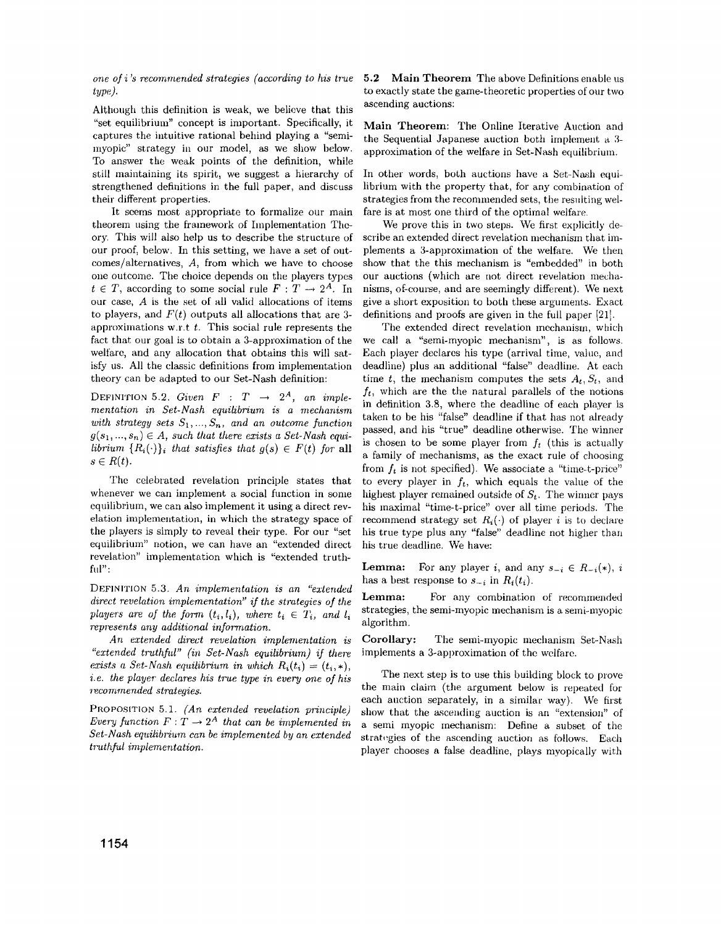*one of i's recommended strategies (according to his true type),* 

Although this definition is weak, we believe that this "set equilibrium" concept is important. Specifically, it captures the intuitive rational behind playing a "semimyopic" strategy in our model, as we show below. To answer the weak points of the definition, while still maintaining its spirit, we suggest a hierarchy of strengthened definitions in the full paper, and discuss their different properties.

It seems most appropriate to formalize our main theorem using the framework of Implementation Theory. This will also help us to describe the structure of our proof, below. In this setting, we have a set of outcomes/alternatives, A, from which we have to choose one outcome. The choice depends on the players types  $t \in T$ , according to some social rule  $F : T \to 2^A$ . In our case, *A* is the set of all valid allocations of items to players, and  $F(t)$  outputs all allocations that are 3approximations w.r.t  $t$ . This social rule represents the fact that our goal is to obtain a 3-approximation of the welfare, and any allocation that obtains this will satisfy us. All the classic definitions from implementation theory can be adapted to our Set-Nash definition:

DEFINITION 5.2. *Given*  $F : T \rightarrow 2^A$ , *an implementation in Set-Nash equilibrium* is *a mechanism*  with strategy sets  $S_1, ..., S_n$ , and an outcome function  $g(s_1, ..., s_n) \in A$ , such that there exists a Set-Nash equi*librium*  ${R_i(\cdot)}_i$  *that satisfies that*  $g(s) \in F(t)$  *for all*  $s \in R(t)$ .

The celebrated revelation principle states that whenever we can implement a social function in some equilibrium, we can also implement it using a direct revelation implementation, in which the strategy space of the players is simply to reveal their type. For our "set equilibrium" notion, we can have an "extended direct revelation" implementation which is "extended truthful":

DEFINITION 5.3. *An implementation* is *an "extended direct revelation implementation" if the strategies of the players are of the form*  $(t_i, l_i)$ *, where*  $t_i \in T_i$ *, and*  $l_i$  $represents$  any additional information.

*An extended direct revelation implementation* is *"extended truthful" (in Set-Nash equilibrium) if there exists a Set-Nash equilibrium in which*  $R_i(t_i) = (t_i, *),$ i.e. the player declares his true type in every one of his *recommended strategies.* 

PROPOSITION 5.1. *(An extended revelation principle) Every function*  $F: T \to 2^A$  that can be implemented in *Set-Nash equilibrium can be implemented by an extended truthful implementation.* 

5.2 Main Theorem The above Definitions enable us to exactly state the game-theoretic properties of our two ascending auctions:

Main Theorem: The Online Iterative Auction and the Sequential Japanese auction both implement a  $3$ approximation of the welfare in Set-Nash equilibrium.

In other words, both auctions have a Set-Nash equilibrium with the property that, for any combination of strategies from the recommended sets, the resulting welfare is at most one third of the optimal welfare.

We prove this in two steps. We first explicitly describe an extended direct revelation mechanism that implements a 3-approximation of the welfare. We then show that the this mechanism is "embedded" in both our auctions (which are not direct revelation mechanisms, of-course, and are seemingly different). We next give a short exposition to both these arguments. Exact definitions and proofs are given in the full paper [21).

The extended direct revelation mechanism, which we call a "semi-myopic mechanism", is as follows. Each player declares his type (arrival time, value, and deadline) plus an additional "false" deadline. At each time *t*, the mechanism computes the sets  $A_t$ ,  $S_t$ , and *ft,* which are the the natural parallels of the notions in definition 3.8, where the deadline of each player is taken to be his "false" deadline if that has not already passed, and his "true" deadline otherwise. The winner is chosen to be some player from  $f_t$  (this is actually a family of mechanisms, as the exact rule of choosing from  $f_t$  is not specified). We associate a "time-t-price" to every player in  $f_t$ , which equals the value of the highest player remained outside of  $S_t$ . The winner pays his maximal "time-t-price" over all time periods. The recommend strategy set  $R_i(\cdot)$  of player i is to declare his true type plus any "false" deadline not higher than his true deadline. We have:

**Lemma:** For any player *i*, and any  $s_{-i} \in R_{-i}(*)$ , *i* has a best response to  $s_{-i}$  in  $R_i(t_i)$ .

Lemma: For any combination of recommended strategies, the semi-myopic mechanism is a semi-myopic algorithm.

Corollary: The semi-myopic mechanism Set-Nash implements a 3-approximation of the welfare.

The next step is to use this building block to prove the main claim (the argument below is repeated for each auction separately, in a similar way). We first show that the ascending auction is an "extension" of a semi myopic mechanism: Define a subset of the strategies of the ascending auction as follows. Each player chooses a false deadline, plays myopically with